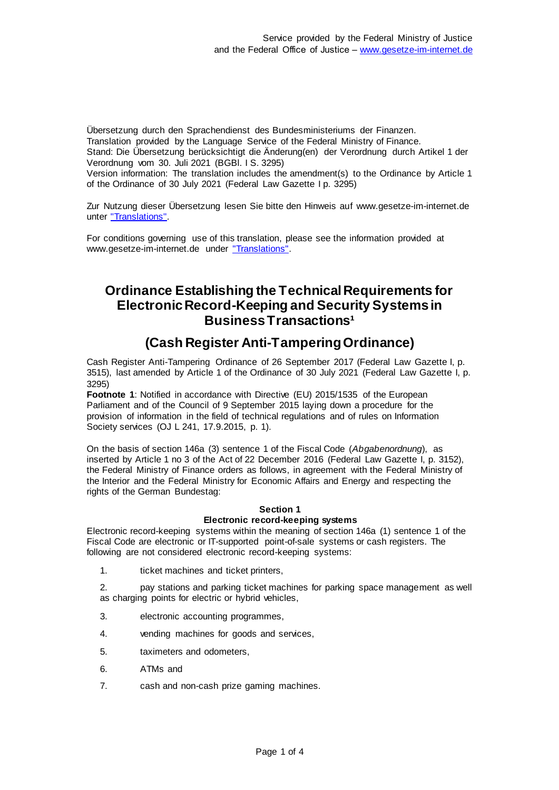Übersetzung durch den Sprachendienst des Bundesministeriums der Finanzen. Translation provided by the Language Service of the Federal Ministry of Finance. Stand: Die Übersetzung berücksichtigt die Änderung(en) der Verordnung durch Artikel 1 der Verordnung vom 30. Juli 2021 (BGBl. I S. 3295) Version information: The translation includes the amendment(s) to the Ordinance by Article 1 of the Ordinance of 30 July 2021 (Federal Law Gazette I p. 3295)

Zur Nutzung dieser Übersetzung lesen Sie bitte den Hinweis auf www.gesetze-im-internet.de unter ["Translations".](https://www.gesetze-im-internet.de/Teilliste_translations.html)

For conditions governing use of this translation, please see the information provided at www.gesetze-im-internet.de under ["Translations".](https://www.gesetze-im-internet.de/Teilliste_translations.html)

# **Ordinance Establishing the Technical Requirements for Electronic Record-Keeping and Security Systems in Business Transactions<sup>1</sup>**

# **(Cash Register Anti-Tampering Ordinance)**

Cash Register Anti-Tampering Ordinance of 26 September 2017 (Federal Law Gazette I, p. 3515), last amended by Article 1 of the Ordinance of 30 July 2021 (Federal Law Gazette I, p. 3295)

**Footnote 1**: Notified in accordance with Directive (EU) 2015/1535 of the European Parliament and of the Council of 9 September 2015 laying down a procedure for the provision of information in the field of technical regulations and of rules on Information Society services (OJ L 241, 17.9.2015, p. 1).

On the basis of section 146a (3) sentence 1 of the Fiscal Code (*Abgabenordnung*), as inserted by Article 1 no 3 of the Act of 22 December 2016 (Federal Law Gazette I, p. 3152), the Federal Ministry of Finance orders as follows, in agreement with the Federal Ministry of the Interior and the Federal Ministry for Economic Affairs and Energy and respecting the rights of the German Bundestag:

# **Section 1 Electronic record-keeping systems**

Electronic record-keeping systems within the meaning of section 146a (1) sentence 1 of the Fiscal Code are electronic or IT-supported point-of-sale systems or cash registers. The following are not considered electronic record-keeping systems:

1. ticket machines and ticket printers,

2. pay stations and parking ticket machines for parking space management as well as charging points for electric or hybrid vehicles,

- 3. electronic accounting programmes,
- 4. vending machines for goods and services,
- 5. taximeters and odometers,
- 6. ATMs and
- 7. cash and non-cash prize gaming machines.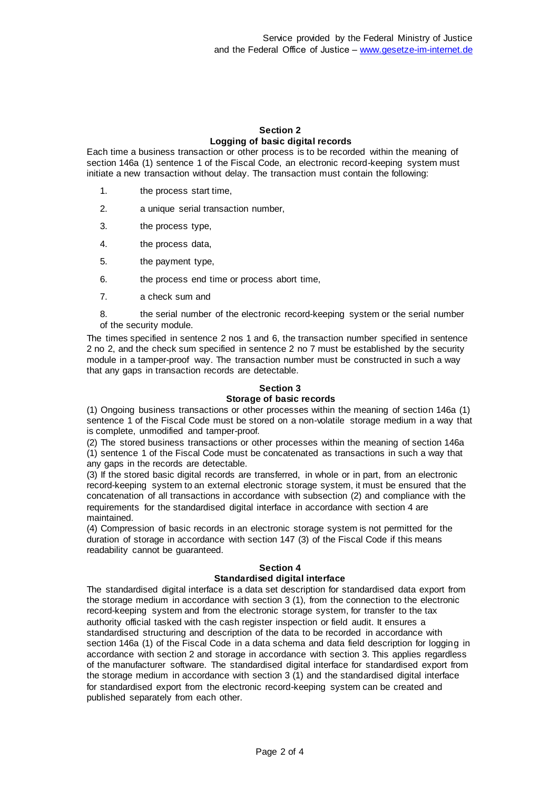### **Section 2 Logging of basic digital records**

Each time a business transaction or other process is to be recorded within the meaning of section 146a (1) sentence 1 of the Fiscal Code, an electronic record-keeping system must initiate a new transaction without delay. The transaction must contain the following:

- 1. the process start time,
- 2. a unique serial transaction number,
- 3. the process type,
- 4. the process data,
- 5. the payment type,
- 6. the process end time or process abort time,
- 7. a check sum and

8. the serial number of the electronic record-keeping system or the serial number of the security module.

The times specified in sentence 2 nos 1 and 6, the transaction number specified in sentence 2 no 2, and the check sum specified in sentence 2 no 7 must be established by the security module in a tamper-proof way. The transaction number must be constructed in such a way that any gaps in transaction records are detectable.

#### **Section 3 Storage of basic records**

(1) Ongoing business transactions or other processes within the meaning of section 146a (1) sentence 1 of the Fiscal Code must be stored on a non-volatile storage medium in a way that is complete, unmodified and tamper-proof.

(2) The stored business transactions or other processes within the meaning of section 146a (1) sentence 1 of the Fiscal Code must be concatenated as transactions in such a way that any gaps in the records are detectable.

(3) If the stored basic digital records are transferred, in whole or in part, from an electronic record-keeping system to an external electronic storage system, it must be ensured that the concatenation of all transactions in accordance with subsection (2) and compliance with the requirements for the standardised digital interface in accordance with section 4 are maintained.

(4) Compression of basic records in an electronic storage system is not permitted for the duration of storage in accordance with section 147 (3) of the Fiscal Code if this means readability cannot be guaranteed.

# **Section 4**

# **Standardised digital interface**

The standardised digital interface is a data set description for standardised data export from the storage medium in accordance with section 3 (1), from the connection to the electronic record-keeping system and from the electronic storage system, for transfer to the tax authority official tasked with the cash register inspection or field audit. It ensures a standardised structuring and description of the data to be recorded in accordance with section 146a (1) of the Fiscal Code in a data schema and data field description for logging in accordance with section 2 and storage in accordance with section 3. This applies regardless of the manufacturer software. The standardised digital interface for standardised export from the storage medium in accordance with section 3 (1) and the standardised digital interface for standardised export from the electronic record-keeping system can be created and published separately from each other.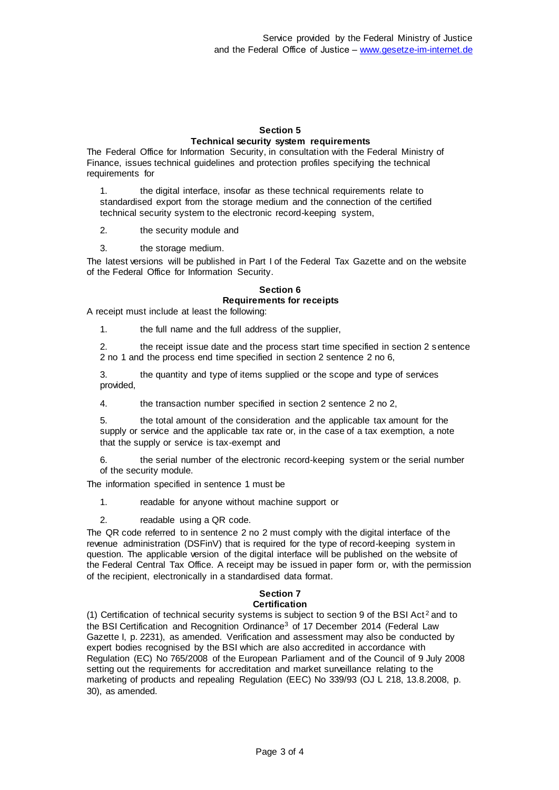### **Section 5 Technical security system requirements**

The Federal Office for Information Security, in consultation with the Federal Ministry of Finance, issues technical guidelines and protection profiles specifying the technical requirements for

1. the digital interface, insofar as these technical requirements relate to standardised export from the storage medium and the connection of the certified technical security system to the electronic record-keeping system,

2. the security module and

3. the storage medium.

The latest versions will be published in Part I of the Federal Tax Gazette and on the website of the Federal Office for Information Security.

### **Section 6 Requirements for receipts**

A receipt must include at least the following:

1. the full name and the full address of the supplier,

2. the receipt issue date and the process start time specified in section 2 sentence 2 no 1 and the process end time specified in section 2 sentence 2 no 6,

3. the quantity and type of items supplied or the scope and type of services provided,

4. the transaction number specified in section 2 sentence 2 no 2,

5. the total amount of the consideration and the applicable tax amount for the supply or service and the applicable tax rate or, in the case of a tax exemption, a note that the supply or service is tax-exempt and

6. the serial number of the electronic record-keeping system or the serial number of the security module.

The information specified in sentence 1 must be

1. readable for anyone without machine support or

2. readable using a QR code.

The QR code referred to in sentence 2 no 2 must comply with the digital interface of the revenue administration (DSFinV) that is required for the type of record-keeping system in question. The applicable version of the digital interface will be published on the website of the Federal Central Tax Office. A receipt may be issued in paper form or, with the permission of the recipient, electronically in a standardised data format.

#### **Section 7 Certification**

(1) Certification of technical security systems is subject to section 9 of the BSI Act<sup>2</sup> and to the BSI Certification and Recognition Ordinance<sup>3</sup> of 17 December 2014 (Federal Law Gazette I, p. 2231), as amended. Verification and assessment may also be conducted by expert bodies recognised by the BSI which are also accredited in accordance with Regulation (EC) No 765/2008 of the European Parliament and of the Council of 9 July 2008 setting out the requirements for accreditation and market surveillance relating to the marketing of products and repealing Regulation (EEC) No 339/93 (OJ L 218, 13.8.2008, p. 30), as amended.